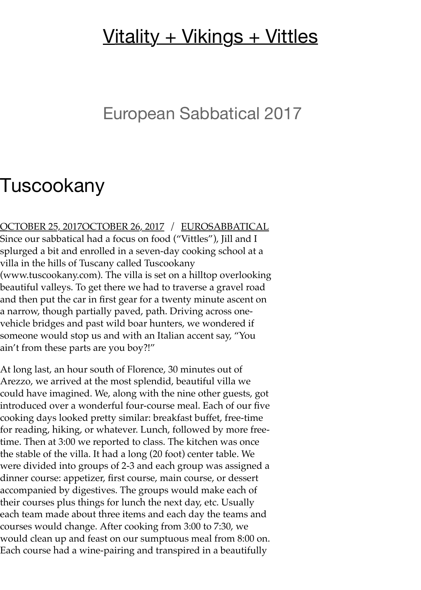## <u>[Vitality + Vikings + Vittles](https://eurosabbatical.blog/)</u>

## European Sabbatical 2017

## Tuscookany

[OCTOBER 25, 2017OCTOBER 26, 2017](https://eurosabbatical.blog/2017/10/25/tuscookany/) / [EUROSABBATICAL](https://eurosabbatical.blog/author/eurosabbatical/) Since our sabbatical had a focus on food ("Vittles"), Jill and I splurged a bit and enrolled in a seven-day cooking school at a villa in the hills of Tuscany called Tuscookany (www.tuscookany.com). The villa is set on a hilltop overlooking beautiful valleys. To get there we had to traverse a gravel road and then put the car in first gear for a twenty minute ascent on a narrow, though partially paved, path. Driving across onevehicle bridges and past wild boar hunters, we wondered if someone would stop us and with an Italian accent say, "You ain't from these parts are you boy?!"

At long last, an hour south of Florence, 30 minutes out of Arezzo, we arrived at the most splendid, beautiful villa we could have imagined. We, along with the nine other guests, got introduced over a wonderful four-course meal. Each of our five cooking days looked pretty similar: breakfast buffet, free-time for reading, hiking, or whatever. Lunch, followed by more freetime. Then at 3:00 we reported to class. The kitchen was once the stable of the villa. It had a long (20 foot) center table. We were divided into groups of 2-3 and each group was assigned a dinner course: appetizer, first course, main course, or dessert accompanied by digestives. The groups would make each of their courses plus things for lunch the next day, etc. Usually each team made about three items and each day the teams and courses would change. After cooking from 3:00 to 7:30, we would clean up and feast on our sumptuous meal from 8:00 on. Each course had a wine-pairing and transpired in a beautifully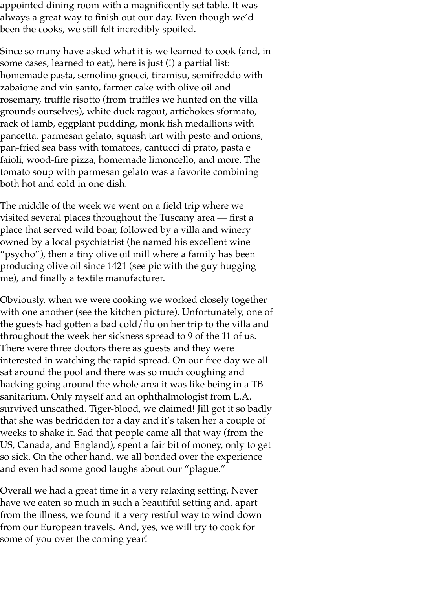appointed dining room with a magnificently set table. It was always a great way to finish out our day. Even though we'd been the cooks, we still felt incredibly spoiled.

Since so many have asked what it is we learned to cook (and, in some cases, learned to eat), here is just (!) a partial list: homemade pasta, semolino gnocci, tiramisu, semifreddo with zabaione and vin santo, farmer cake with olive oil and rosemary, truffle risotto (from truffles we hunted on the villa grounds ourselves), white duck ragout, artichokes sformato, rack of lamb, eggplant pudding, monk fish medallions with pancetta, parmesan gelato, squash tart with pesto and onions, pan-fried sea bass with tomatoes, cantucci di prato, pasta e faioli, wood-fire pizza, homemade limoncello, and more. The tomato soup with parmesan gelato was a favorite combining both hot and cold in one dish.

The middle of the week we went on a field trip where we visited several places throughout the Tuscany area — first a place that served wild boar, followed by a villa and winery owned by a local psychiatrist (he named his excellent wine "psycho"), then a tiny olive oil mill where a family has been producing olive oil since 1421 (see pic with the guy hugging me), and finally a textile manufacturer.

Obviously, when we were cooking we worked closely together with one another (see the kitchen picture). Unfortunately, one of the guests had gotten a bad cold/flu on her trip to the villa and throughout the week her sickness spread to 9 of the 11 of us. There were three doctors there as guests and they were interested in watching the rapid spread. On our free day we all sat around the pool and there was so much coughing and hacking going around the whole area it was like being in a TB sanitarium. Only myself and an ophthalmologist from L.A. survived unscathed. Tiger-blood, we claimed! Jill got it so badly that she was bedridden for a day and it's taken her a couple of weeks to shake it. Sad that people came all that way (from the US, Canada, and England), spent a fair bit of money, only to get so sick. On the other hand, we all bonded over the experience and even had some good laughs about our "plague."

Overall we had a great time in a very relaxing setting. Never have we eaten so much in such a beautiful setting and, apart from the illness, we found it a very restful way to wind down from our European travels. And, yes, we will try to cook for some of you over the coming year!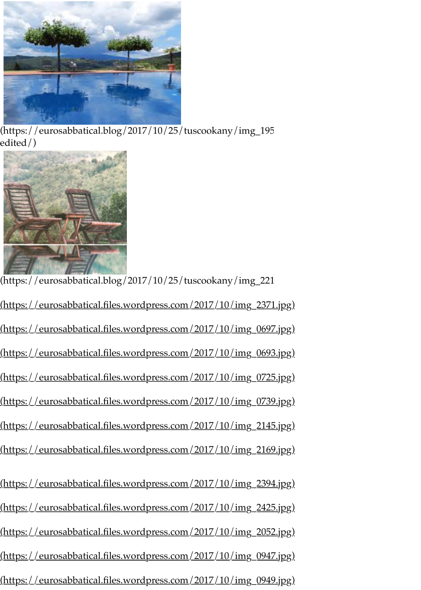

[\(https://eurosabbatical.blog/2017/10/25/tuscookany/img\\_195](https://eurosabbatical.blog/2017/10/25/tuscookany/img_1950-edited/) edited/)



[\(https://eurosabbatical.blog/2017/10/25/tuscookany/img\\_221](https://eurosabbatical.blog/2017/10/25/tuscookany/img_2215/) [\(https://eurosabbatical.files.wordpress.com/2017/10/img\\_2371.jpg\)](https://eurosabbatical.files.wordpress.com/2017/10/img_2371.jpg) [\(https://eurosabbatical.files.wordpress.com/2017/10/img\\_0697.jpg\)](https://eurosabbatical.files.wordpress.com/2017/10/img_0697.jpg) [\(https://eurosabbatical.files.wordpress.com/2017/10/img\\_0693.jpg\)](https://eurosabbatical.files.wordpress.com/2017/10/img_0693.jpg) [\(https://eurosabbatical.files.wordpress.com/2017/10/img\\_0725.jpg\)](https://eurosabbatical.files.wordpress.com/2017/10/img_0725.jpg) [\(https://eurosabbatical.files.wordpress.com/2017/10/img\\_0739.jpg\)](https://eurosabbatical.files.wordpress.com/2017/10/img_0739.jpg) [\(https://eurosabbatical.files.wordpress.com/2017/10/img\\_2145.jpg\)](https://eurosabbatical.files.wordpress.com/2017/10/img_2145.jpg) [\(https://eurosabbatical.files.wordpress.com/2017/10/img\\_2169.jpg\)](https://eurosabbatical.files.wordpress.com/2017/10/img_2169.jpg) [\(https://eurosabbatical.files.wordpress.com/2017/10/img\\_2394.jpg\)](https://eurosabbatical.files.wordpress.com/2017/10/img_2394.jpg) [\(https://eurosabbatical.files.wordpress.com/2017/10/img\\_2425.jpg\)](https://eurosabbatical.files.wordpress.com/2017/10/img_2425.jpg) [\(https://eurosabbatical.files.wordpress.com/2017/10/img\\_2052.jpg\)](https://eurosabbatical.files.wordpress.com/2017/10/img_2052.jpg) [\(https://eurosabbatical.files.wordpress.com/2017/10/img\\_0947.jpg\)](https://eurosabbatical.files.wordpress.com/2017/10/img_0947.jpg) [\(https://eurosabbatical.files.wordpress.com/2017/10/img\\_0949.jpg\)](https://eurosabbatical.files.wordpress.com/2017/10/img_0949.jpg)